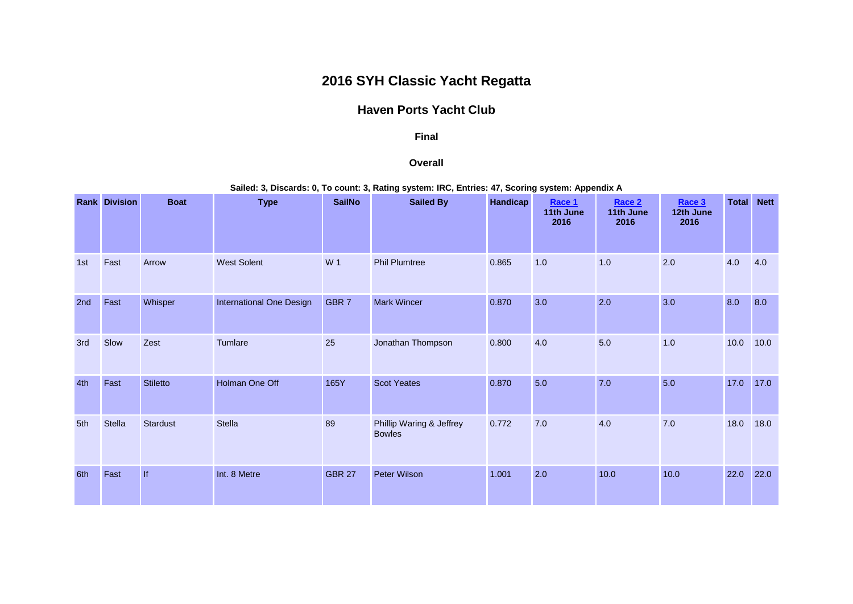# **2016 SYH Classic Yacht Regatta**

## **Haven Ports Yacht Club**

#### **Final**

#### **Overall**

**Sailed: 3, Discards: 0, To count: 3, Rating system: IRC, Entries: 47, Scoring system: Appendix A**

|     | <b>Rank Division</b> | <b>Boat</b>     | <b>Type</b>              | <b>SailNo</b>    | <b>Sailed By</b>                          | <b>Handicap</b> | Race 1<br>11th June<br>2016 | Race 2<br>11th June<br>2016 | Race 3<br>12th June<br>2016 | <b>Total</b> | <b>Nett</b> |
|-----|----------------------|-----------------|--------------------------|------------------|-------------------------------------------|-----------------|-----------------------------|-----------------------------|-----------------------------|--------------|-------------|
| 1st | Fast                 | Arrow           | <b>West Solent</b>       | W 1              | <b>Phil Plumtree</b>                      | 0.865           | 1.0                         | 1.0                         | 2.0                         | 4.0          | 4.0         |
| 2nd | Fast                 | Whisper         | International One Design | GBR <sub>7</sub> | <b>Mark Wincer</b>                        | 0.870           | 3.0                         | 2.0                         | 3.0                         | 8.0          | 8.0         |
| 3rd | Slow                 | Zest            | Tumlare                  | 25               | Jonathan Thompson                         | 0.800           | 4.0                         | 5.0                         | 1.0                         | 10.0         | 10.0        |
| 4th | Fast                 | <b>Stiletto</b> | Holman One Off           | 165Y             | <b>Scot Yeates</b>                        | 0.870           | 5.0                         | 7.0                         | 5.0                         | 17.0         | 17.0        |
| 5th | <b>Stella</b>        | Stardust        | <b>Stella</b>            | 89               | Phillip Waring & Jeffrey<br><b>Bowles</b> | 0.772           | 7.0                         | 4.0                         | 7.0                         | 18.0         | 18.0        |
| 6th | Fast                 | If              | Int. 8 Metre             | <b>GBR 27</b>    | Peter Wilson                              | 1.001           | 2.0                         | 10.0                        | 10.0                        | 22.0         | 22.0        |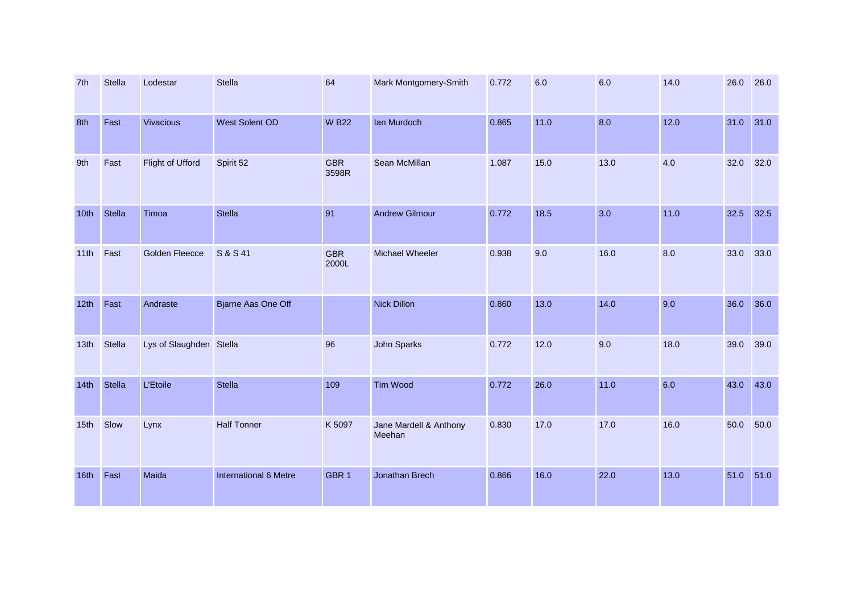| 7th              | Stella | Lodestar                | Stella                    | 64                  | Mark Montgomery-Smith            | 0.772 | 6.0  | 6.0  | 14.0 | 26.0 | 26.0   |
|------------------|--------|-------------------------|---------------------------|---------------------|----------------------------------|-------|------|------|------|------|--------|
| 8th              | Fast   | Vivacious               | West Solent OD            | <b>WB22</b>         | Ian Murdoch                      | 0.865 | 11.0 | 8.0  | 12.0 | 31.0 | $31.0$ |
| 9th              | Fast   | Flight of Ufford        | Spirit 52                 | <b>GBR</b><br>3598R | Sean McMillan                    | 1.087 | 15.0 | 13.0 | 4.0  | 32.0 | 32.0   |
| 10th             | Stella | Timoa                   | <b>Stella</b>             | 91                  | <b>Andrew Gilmour</b>            | 0.772 | 18.5 | 3.0  | 11.0 | 32.5 | 32.5   |
| 11th             | Fast   | <b>Golden Fleecce</b>   | S & S 41                  | <b>GBR</b><br>2000L | Michael Wheeler                  | 0.938 | 9.0  | 16.0 | 8.0  | 33.0 | 33.0   |
| 12th             | Fast   | Andraste                | <b>Bjarne Aas One Off</b> |                     | <b>Nick Dillon</b>               | 0.860 | 13.0 | 14.0 | 9.0  | 36.0 | 36.0   |
| 13 <sub>th</sub> | Stella | Lys of Slaughden Stella |                           | 96                  | John Sparks                      | 0.772 | 12.0 | 9.0  | 18.0 | 39.0 | 39.0   |
| 14th             | Stella | <b>L'Etoile</b>         | Stella                    | 109                 | Tim Wood                         | 0.772 | 26.0 | 11.0 | 6.0  | 43.0 | 43.0   |
| 15 <sub>th</sub> | Slow   | Lynx                    | <b>Half Tonner</b>        | K 5097              | Jane Mardell & Anthony<br>Meehan | 0.830 | 17.0 | 17.0 | 16.0 | 50.0 | 50.0   |
| 16th             | Fast   | Maida                   | International 6 Metre     | GBR <sub>1</sub>    | Jonathan Brech                   | 0.866 | 16.0 | 22.0 | 13.0 | 51.0 | 51.0   |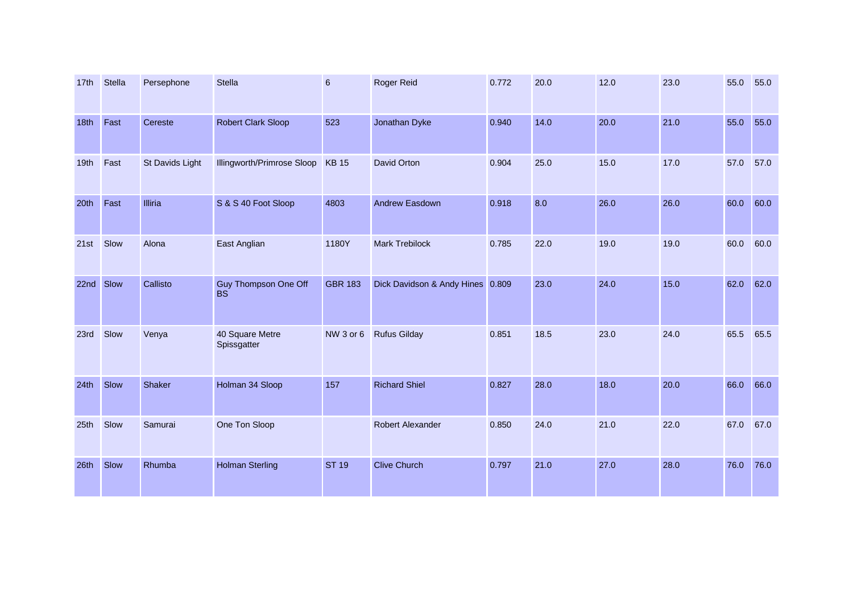| 17 <sub>th</sub> | <b>Stella</b> | Persephone      | <b>Stella</b>                            | $6\phantom{1}6$ | Roger Reid                       | 0.772 | 20.0 | 12.0 | 23.0 | 55.0 | 55.0 |
|------------------|---------------|-----------------|------------------------------------------|-----------------|----------------------------------|-------|------|------|------|------|------|
| 18th             | Fast          | Cereste         | Robert Clark Sloop                       | 523             | Jonathan Dyke                    | 0.940 | 14.0 | 20.0 | 21.0 | 55.0 | 55.0 |
| 19th             | Fast          | St Davids Light | Illingworth/Primrose Sloop               | <b>KB15</b>     | David Orton                      | 0.904 | 25.0 | 15.0 | 17.0 | 57.0 | 57.0 |
| 20th             | Fast          | Illiria         | S & S 40 Foot Sloop                      | 4803            | <b>Andrew Easdown</b>            | 0.918 | 8.0  | 26.0 | 26.0 | 60.0 | 60.0 |
| 21st             | Slow          | Alona           | East Anglian                             | 1180Y           | <b>Mark Trebilock</b>            | 0.785 | 22.0 | 19.0 | 19.0 | 60.0 | 60.0 |
| 22nd Slow        |               | Callisto        | <b>Guy Thompson One Off</b><br><b>BS</b> | <b>GBR 183</b>  | Dick Davidson & Andy Hines 0.809 |       | 23.0 | 24.0 | 15.0 | 62.0 | 62.0 |
| 23rd             | Slow          | Venya           | 40 Square Metre<br>Spissgatter           | NW 3 or 6       | <b>Rufus Gilday</b>              | 0.851 | 18.5 | 23.0 | 24.0 | 65.5 | 65.5 |
| 24th             | Slow          | Shaker          | Holman 34 Sloop                          | 157             | <b>Richard Shiel</b>             | 0.827 | 28.0 | 18.0 | 20.0 | 66.0 | 66.0 |
| 25 <sub>th</sub> | Slow          | Samurai         | One Ton Sloop                            |                 | Robert Alexander                 | 0.850 | 24.0 | 21.0 | 22.0 | 67.0 | 67.0 |
| 26th             | Slow          | Rhumba          | <b>Holman Sterling</b>                   | <b>ST 19</b>    | <b>Clive Church</b>              | 0.797 | 21.0 | 27.0 | 28.0 | 76.0 | 76.0 |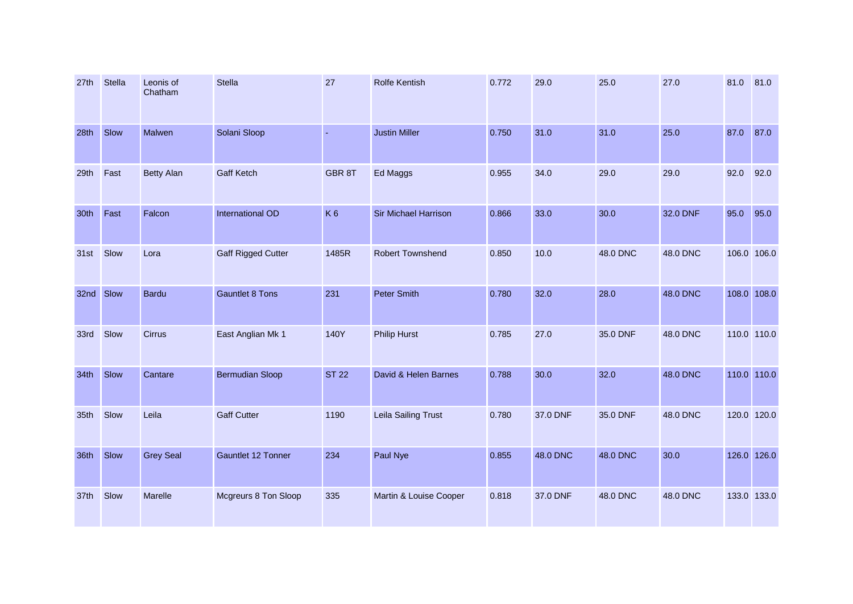| 27th      | <b>Stella</b> | Leonis of<br>Chatham | Stella                    | 27             | <b>Rolfe Kentish</b>    | 0.772 | 29.0     | 25.0     | 27.0     | 81.0        | 81.0 |
|-----------|---------------|----------------------|---------------------------|----------------|-------------------------|-------|----------|----------|----------|-------------|------|
| 28th      | Slow          | Malwen               | Solani Sloop              | $\sim$         | <b>Justin Miller</b>    | 0.750 | 31.0     | 31.0     | 25.0     | 87.0        | 87.0 |
| 29th      | Fast          | <b>Betty Alan</b>    | <b>Gaff Ketch</b>         | GBR 8T         | Ed Maggs                | 0.955 | 34.0     | 29.0     | 29.0     | 92.0        | 92.0 |
| 30th      | Fast          | Falcon               | International OD          | K <sub>6</sub> | Sir Michael Harrison    | 0.866 | 33.0     | 30.0     | 32.0 DNF | 95.0        | 95.0 |
| 31st      | Slow          | Lora                 | <b>Gaff Rigged Cutter</b> | 1485R          | <b>Robert Townshend</b> | 0.850 | 10.0     | 48.0 DNC | 48.0 DNC | 106.0 106.0 |      |
| 32nd Slow |               | <b>Bardu</b>         | <b>Gauntlet 8 Tons</b>    | 231            | <b>Peter Smith</b>      | 0.780 | 32.0     | 28.0     | 48.0 DNC | 108.0 108.0 |      |
| 33rd      | Slow          | <b>Cirrus</b>        | East Anglian Mk 1         | 140Y           | <b>Philip Hurst</b>     | 0.785 | 27.0     | 35.0 DNF | 48.0 DNC | 110.0 110.0 |      |
| 34th      | Slow          | Cantare              | <b>Bermudian Sloop</b>    | <b>ST 22</b>   | David & Helen Barnes    | 0.788 | 30.0     | 32.0     | 48.0 DNC | 110.0 110.0 |      |
| 35th      | Slow          | Leila                | <b>Gaff Cutter</b>        | 1190           | Leila Sailing Trust     | 0.780 | 37.0 DNF | 35.0 DNF | 48.0 DNC | 120.0 120.0 |      |
| 36th      | Slow          | <b>Grey Seal</b>     | <b>Gauntlet 12 Tonner</b> | 234            | Paul Nye                | 0.855 | 48.0 DNC | 48.0 DNC | 30.0     | 126.0 126.0 |      |
| 37th      | Slow          | Marelle              | Mcgreurs 8 Ton Sloop      | 335            | Martin & Louise Cooper  | 0.818 | 37.0 DNF | 48.0 DNC | 48.0 DNC | 133.0 133.0 |      |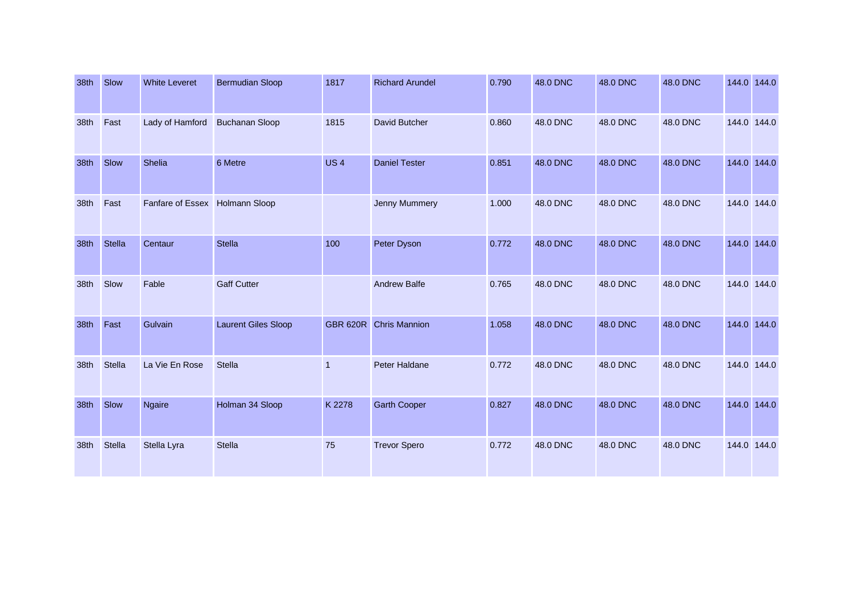| 38th | Slow   | <b>White Leveret</b> | <b>Bermudian Sloop</b>     | 1817            | <b>Richard Arundel</b> | 0.790 | 48.0 DNC | 48.0 DNC | 48.0 DNC | 144.0 144.0 |  |
|------|--------|----------------------|----------------------------|-----------------|------------------------|-------|----------|----------|----------|-------------|--|
| 38th | Fast   | Lady of Hamford      | <b>Buchanan Sloop</b>      | 1815            | David Butcher          | 0.860 | 48.0 DNC | 48.0 DNC | 48.0 DNC | 144.0 144.0 |  |
| 38th | Slow   | Shelia               | 6 Metre                    | <b>US4</b>      | <b>Daniel Tester</b>   | 0.851 | 48.0 DNC | 48.0 DNC | 48.0 DNC | 144.0 144.0 |  |
| 38th | Fast   | Fanfare of Essex     | <b>Holmann Sloop</b>       |                 | Jenny Mummery          | 1.000 | 48.0 DNC | 48.0 DNC | 48.0 DNC | 144.0 144.0 |  |
| 38th | Stella | Centaur              | Stella                     | 100             | Peter Dyson            | 0.772 | 48.0 DNC | 48.0 DNC | 48.0 DNC | 144.0 144.0 |  |
| 38th | Slow   | Fable                | <b>Gaff Cutter</b>         |                 | <b>Andrew Balfe</b>    | 0.765 | 48.0 DNC | 48.0 DNC | 48.0 DNC | 144.0 144.0 |  |
| 38th | Fast   | Gulvain              | <b>Laurent Giles Sloop</b> | <b>GBR 620R</b> | <b>Chris Mannion</b>   | 1.058 | 48.0 DNC | 48.0 DNC | 48.0 DNC | 144.0 144.0 |  |
| 38th | Stella | La Vie En Rose       | <b>Stella</b>              | $\overline{1}$  | <b>Peter Haldane</b>   | 0.772 | 48.0 DNC | 48.0 DNC | 48.0 DNC | 144.0 144.0 |  |
| 38th | Slow   | <b>Ngaire</b>        | Holman 34 Sloop            | K 2278          | <b>Garth Cooper</b>    | 0.827 | 48.0 DNC | 48.0 DNC | 48.0 DNC | 144.0 144.0 |  |
| 38th | Stella | Stella Lyra          | Stella                     | 75              | <b>Trevor Spero</b>    | 0.772 | 48.0 DNC | 48.0 DNC | 48.0 DNC | 144.0 144.0 |  |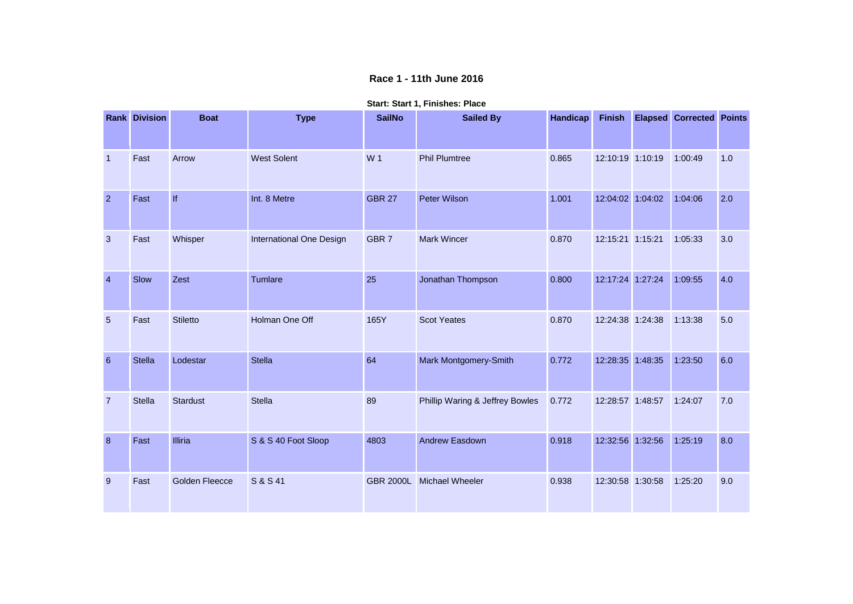**Race 1 - 11th June 2016**

|                | <b>Rank Division</b> | <b>Boat</b>           | <b>Type</b>              | <b>SailNo</b>    | <b>Sailed By</b>                | Handicap | <b>Finish</b>    | <b>Elapsed Corrected Points</b> |     |
|----------------|----------------------|-----------------------|--------------------------|------------------|---------------------------------|----------|------------------|---------------------------------|-----|
| $\overline{1}$ | Fast                 | Arrow                 | <b>West Solent</b>       | W 1              | <b>Phil Plumtree</b>            | 0.865    | 12:10:19 1:10:19 | 1:00:49                         | 1.0 |
| $\overline{2}$ | Fast                 | lf                    | Int. 8 Metre             | <b>GBR 27</b>    | Peter Wilson                    | 1.001    | 12:04:02 1:04:02 | 1:04:06                         | 2.0 |
| $\mathbf{3}$   | Fast                 | Whisper               | International One Design | GBR <sub>7</sub> | <b>Mark Wincer</b>              | 0.870    | 12:15:21 1:15:21 | 1:05:33                         | 3.0 |
| $\overline{4}$ | Slow                 | Zest                  | Tumlare                  | 25               | Jonathan Thompson               | 0.800    | 12:17:24 1:27:24 | 1:09:55                         | 4.0 |
| $\overline{5}$ | Fast                 | <b>Stiletto</b>       | Holman One Off           | 165Y             | <b>Scot Yeates</b>              | 0.870    | 12:24:38 1:24:38 | 1:13:38                         | 5.0 |
| 6              | <b>Stella</b>        | Lodestar              | Stella                   | 64               | Mark Montgomery-Smith           | 0.772    | 12:28:35 1:48:35 | 1:23:50                         | 6.0 |
| $\overline{7}$ | <b>Stella</b>        | <b>Stardust</b>       | <b>Stella</b>            | 89               | Phillip Waring & Jeffrey Bowles | 0.772    | 12:28:57 1:48:57 | 1:24:07                         | 7.0 |
| 8              | Fast                 | Illiria               | S & S 40 Foot Sloop      | 4803             | <b>Andrew Easdown</b>           | 0.918    | 12:32:56 1:32:56 | 1:25:19                         | 8.0 |
| 9              | Fast                 | <b>Golden Fleecce</b> | S & S 41                 | <b>GBR 2000L</b> | <b>Michael Wheeler</b>          | 0.938    | 12:30:58 1:30:58 | 1:25:20                         | 9.0 |

**Start: Start 1, Finishes: Place**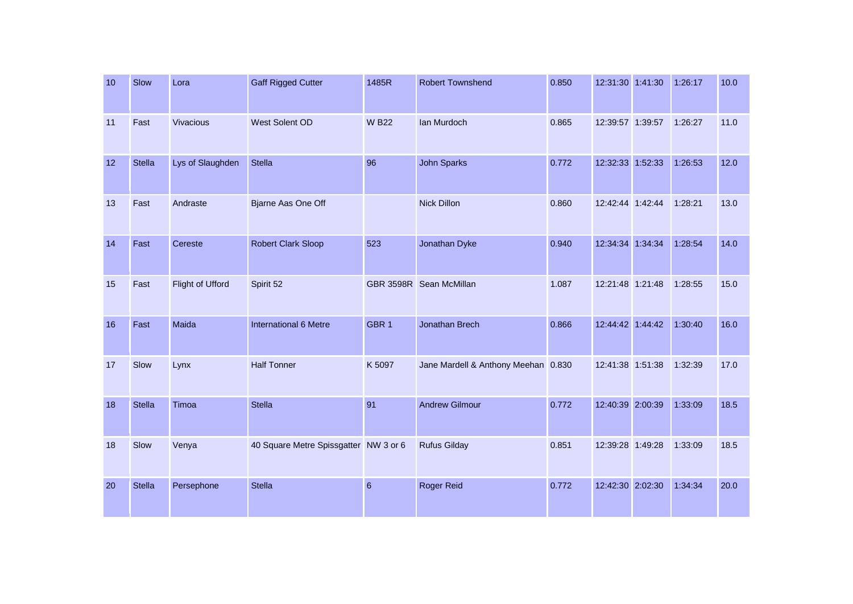| 10 | Slow          | Lora             | <b>Gaff Rigged Cutter</b>             | 1485R            | <b>Robert Townshend</b>             | 0.850 | 12:31:30 1:41:30 | 1:26:17 | 10.0 |
|----|---------------|------------------|---------------------------------------|------------------|-------------------------------------|-------|------------------|---------|------|
| 11 | Fast          | Vivacious        | West Solent OD                        | <b>W B22</b>     | Ian Murdoch                         | 0.865 | 12:39:57 1:39:57 | 1:26:27 | 11.0 |
| 12 | <b>Stella</b> | Lys of Slaughden | <b>Stella</b>                         | 96               | <b>John Sparks</b>                  | 0.772 | 12:32:33 1:52:33 | 1:26:53 | 12.0 |
| 13 | Fast          | Andraste         | Bjarne Aas One Off                    |                  | <b>Nick Dillon</b>                  | 0.860 | 12:42:44 1:42:44 | 1:28:21 | 13.0 |
| 14 | Fast          | Cereste          | <b>Robert Clark Sloop</b>             | 523              | Jonathan Dyke                       | 0.940 | 12:34:34 1:34:34 | 1:28:54 | 14.0 |
| 15 | Fast          | Flight of Ufford | Spirit 52                             |                  | GBR 3598R Sean McMillan             | 1.087 | 12:21:48 1:21:48 | 1:28:55 | 15.0 |
| 16 | Fast          | Maida            | International 6 Metre                 | GBR <sub>1</sub> | Jonathan Brech                      | 0.866 | 12:44:42 1:44:42 | 1:30:40 | 16.0 |
| 17 | Slow          | Lynx             | <b>Half Tonner</b>                    | K 5097           | Jane Mardell & Anthony Meehan 0.830 |       | 12:41:38 1:51:38 | 1:32:39 | 17.0 |
| 18 | <b>Stella</b> | Timoa            | <b>Stella</b>                         | 91               | <b>Andrew Gilmour</b>               | 0.772 | 12:40:39 2:00:39 | 1:33:09 | 18.5 |
| 18 | Slow          | Venya            | 40 Square Metre Spissgatter NW 3 or 6 |                  | <b>Rufus Gilday</b>                 | 0.851 | 12:39:28 1:49:28 | 1:33:09 | 18.5 |
| 20 | <b>Stella</b> | Persephone       | <b>Stella</b>                         | $6\phantom{1}$   | Roger Reid                          | 0.772 | 12:42:30 2:02:30 | 1:34:34 | 20.0 |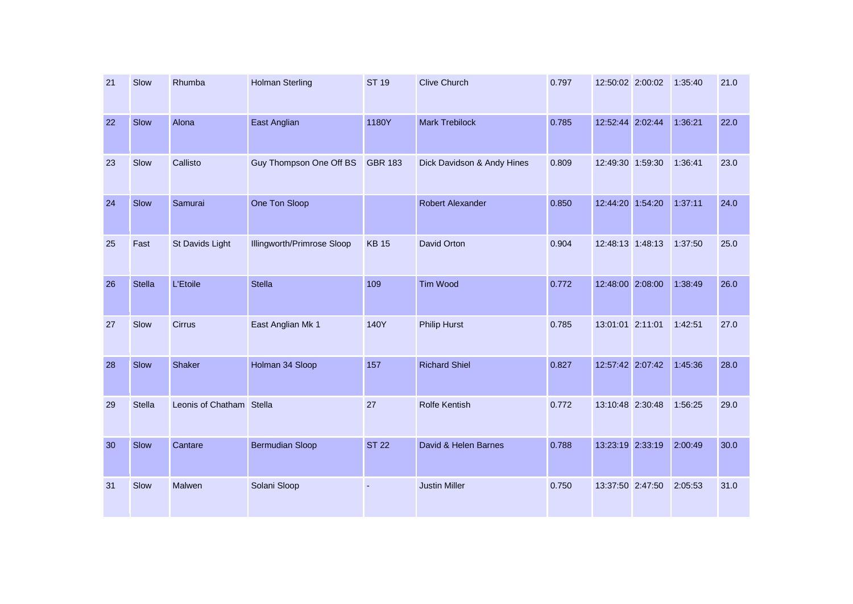| 21 | Slow          | Rhumba                   | <b>Holman Sterling</b>     | <b>ST 19</b>   | <b>Clive Church</b>        | 0.797 | 12:50:02 2:00:02 | 1:35:40 | 21.0 |
|----|---------------|--------------------------|----------------------------|----------------|----------------------------|-------|------------------|---------|------|
| 22 | Slow          | Alona                    | East Anglian               | 1180Y          | <b>Mark Trebilock</b>      | 0.785 | 12:52:44 2:02:44 | 1:36:21 | 22.0 |
| 23 | Slow          | Callisto                 | Guy Thompson One Off BS    | <b>GBR 183</b> | Dick Davidson & Andy Hines | 0.809 | 12:49:30 1:59:30 | 1:36:41 | 23.0 |
| 24 | Slow          | Samurai                  | One Ton Sloop              |                | <b>Robert Alexander</b>    | 0.850 | 12:44:20 1:54:20 | 1:37:11 | 24.0 |
| 25 | Fast          | St Davids Light          | Illingworth/Primrose Sloop | <b>KB15</b>    | David Orton                | 0.904 | 12:48:13 1:48:13 | 1:37:50 | 25.0 |
| 26 | <b>Stella</b> | L'Etoile                 | <b>Stella</b>              | 109            | <b>Tim Wood</b>            | 0.772 | 12:48:00 2:08:00 | 1:38:49 | 26.0 |
| 27 | Slow          | Cirrus                   | East Anglian Mk 1          | 140Y           | <b>Philip Hurst</b>        | 0.785 | 13:01:01 2:11:01 | 1:42:51 | 27.0 |
| 28 | Slow          | Shaker                   | Holman 34 Sloop            | 157            | <b>Richard Shiel</b>       | 0.827 | 12:57:42 2:07:42 | 1:45:36 | 28.0 |
| 29 | <b>Stella</b> | Leonis of Chatham Stella |                            | 27             | Rolfe Kentish              | 0.772 | 13:10:48 2:30:48 | 1:56:25 | 29.0 |
| 30 | Slow          | Cantare                  | <b>Bermudian Sloop</b>     | <b>ST 22</b>   | David & Helen Barnes       | 0.788 | 13:23:19 2:33:19 | 2:00:49 | 30.0 |
| 31 | Slow          | Malwen                   | Solani Sloop               | ÷,             | <b>Justin Miller</b>       | 0.750 | 13:37:50 2:47:50 | 2:05:53 | 31.0 |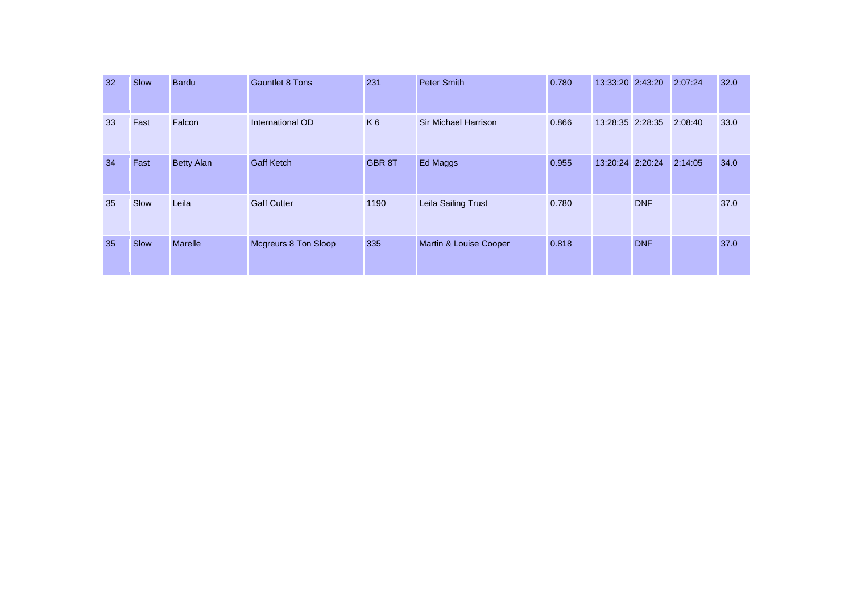| 32 | Slow | <b>Bardu</b>      | <b>Gauntlet 8 Tons</b>      | 231            | <b>Peter Smith</b>          | 0.780 | 13:33:20 2:43:20 |            | 2:07:24 | 32.0 |
|----|------|-------------------|-----------------------------|----------------|-----------------------------|-------|------------------|------------|---------|------|
| 33 | Fast | Falcon            | International OD            | K <sub>6</sub> | <b>Sir Michael Harrison</b> | 0.866 | 13:28:35 2:28:35 |            | 2:08:40 | 33.0 |
| 34 | Fast | <b>Betty Alan</b> | <b>Gaff Ketch</b>           | <b>GBR 8T</b>  | Ed Maggs                    | 0.955 | 13:20:24 2:20:24 |            | 2:14:05 | 34.0 |
| 35 | Slow | Leila             | <b>Gaff Cutter</b>          | 1190           | Leila Sailing Trust         | 0.780 |                  | <b>DNF</b> |         | 37.0 |
| 35 | Slow | <b>Marelle</b>    | <b>Mcgreurs 8 Ton Sloop</b> | 335            | Martin & Louise Cooper      | 0.818 |                  | <b>DNF</b> |         | 37.0 |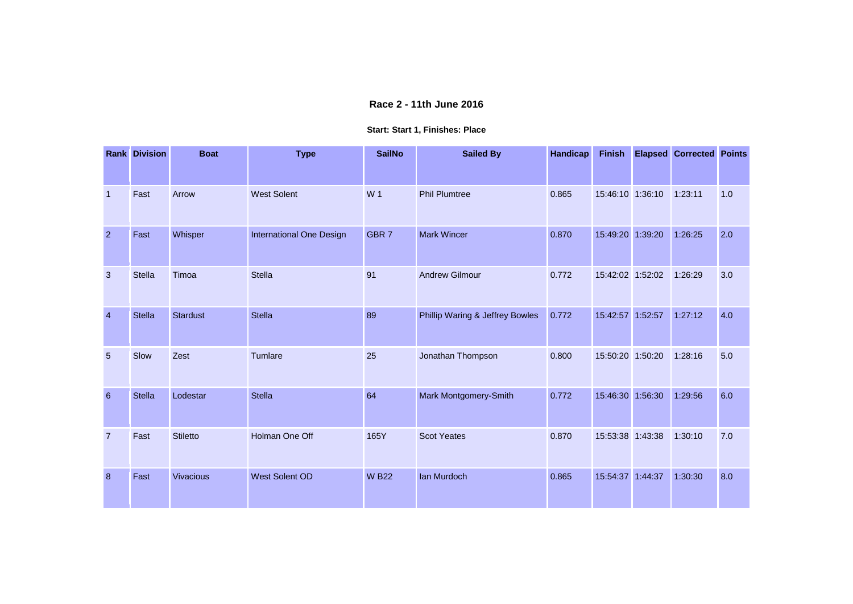### **Race 2 - 11th June 2016**

#### **Start: Start 1, Finishes: Place**

|                         | <b>Rank Division</b> | <b>Boat</b>      | <b>Type</b>              | <b>SailNo</b>    | <b>Sailed By</b>                | Handicap | <b>Finish</b>    | <b>Elapsed Corrected Points</b> |     |
|-------------------------|----------------------|------------------|--------------------------|------------------|---------------------------------|----------|------------------|---------------------------------|-----|
| $\overline{1}$          | Fast                 | Arrow            | <b>West Solent</b>       | W 1              | <b>Phil Plumtree</b>            | 0.865    | 15:46:10 1:36:10 | 1:23:11                         | 1.0 |
| $\overline{2}$          | Fast                 | Whisper          | International One Design | GBR <sub>7</sub> | <b>Mark Wincer</b>              | 0.870    | 15:49:20 1:39:20 | 1:26:25                         | 2.0 |
| 3                       | Stella               | Timoa            | <b>Stella</b>            | 91               | <b>Andrew Gilmour</b>           | 0.772    | 15:42:02 1:52:02 | 1:26:29                         | 3.0 |
| $\overline{\mathbf{4}}$ | <b>Stella</b>        | <b>Stardust</b>  | <b>Stella</b>            | 89               | Phillip Waring & Jeffrey Bowles | 0.772    | 15:42:57 1:52:57 | 1:27:12                         | 4.0 |
| 5                       | Slow                 | Zest             | Tumlare                  | 25               | Jonathan Thompson               | 0.800    | 15:50:20 1:50:20 | 1:28:16                         | 5.0 |
| $6\phantom{1}6$         | <b>Stella</b>        | Lodestar         | <b>Stella</b>            | 64               | Mark Montgomery-Smith           | 0.772    | 15:46:30 1:56:30 | 1:29:56                         | 6.0 |
| $\overline{7}$          | Fast                 | <b>Stiletto</b>  | Holman One Off           | 165Y             | <b>Scot Yeates</b>              | 0.870    | 15:53:38 1:43:38 | 1:30:10                         | 7.0 |
| 8                       | Fast                 | <b>Vivacious</b> | <b>West Solent OD</b>    | <b>W B22</b>     | Ian Murdoch                     | 0.865    | 15:54:37 1:44:37 | 1:30:30                         | 8.0 |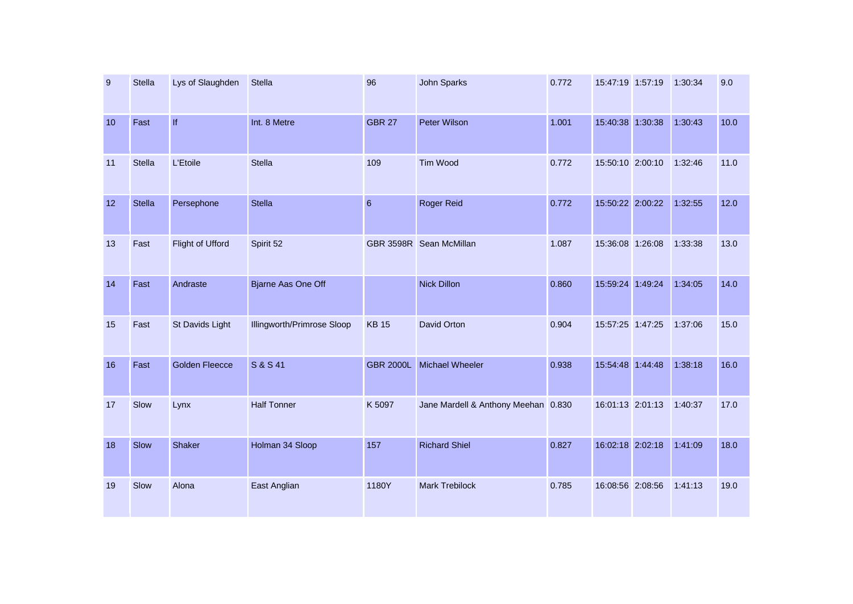| $9\,$ | <b>Stella</b> | Lys of Slaughden      | Stella                     | 96               | John Sparks                         | 0.772 | 15:47:19 1:57:19 | 1:30:34 | 9.0  |
|-------|---------------|-----------------------|----------------------------|------------------|-------------------------------------|-------|------------------|---------|------|
| 10    | Fast          | If                    | Int. 8 Metre               | <b>GBR 27</b>    | <b>Peter Wilson</b>                 | 1.001 | 15:40:38 1:30:38 | 1:30:43 | 10.0 |
| 11    | <b>Stella</b> | L'Etoile              | Stella                     | 109              | Tim Wood                            | 0.772 | 15:50:10 2:00:10 | 1:32:46 | 11.0 |
| 12    | <b>Stella</b> | Persephone            | <b>Stella</b>              | 6                | Roger Reid                          | 0.772 | 15:50:22 2:00:22 | 1:32:55 | 12.0 |
| 13    | Fast          | Flight of Ufford      | Spirit 52                  |                  | GBR 3598R Sean McMillan             | 1.087 | 15:36:08 1:26:08 | 1:33:38 | 13.0 |
| 14    | Fast          | Andraste              | <b>Bjarne Aas One Off</b>  |                  | <b>Nick Dillon</b>                  | 0.860 | 15:59:24 1:49:24 | 1:34:05 | 14.0 |
| 15    | Fast          | St Davids Light       | Illingworth/Primrose Sloop | <b>KB15</b>      | David Orton                         | 0.904 | 15:57:25 1:47:25 | 1:37:06 | 15.0 |
| 16    | Fast          | <b>Golden Fleecce</b> | S & S 41                   | <b>GBR 2000L</b> | <b>Michael Wheeler</b>              | 0.938 | 15:54:48 1:44:48 | 1:38:18 | 16.0 |
| 17    | Slow          | Lynx                  | <b>Half Tonner</b>         | K 5097           | Jane Mardell & Anthony Meehan 0.830 |       | 16:01:13 2:01:13 | 1:40:37 | 17.0 |
| 18    | Slow          | Shaker                | Holman 34 Sloop            | 157              | <b>Richard Shiel</b>                | 0.827 | 16:02:18 2:02:18 | 1:41:09 | 18.0 |
| 19    | Slow          | Alona                 | East Anglian               | 1180Y            | Mark Trebilock                      | 0.785 | 16:08:56 2:08:56 | 1:41:13 | 19.0 |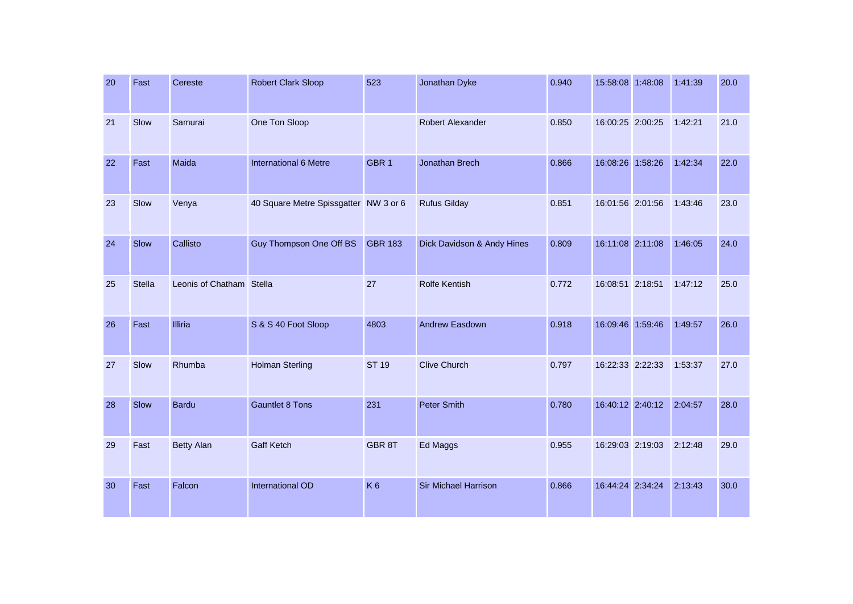| 20 | Fast          | Cereste                  | <b>Robert Clark Sloop</b>             | 523              | Jonathan Dyke              | 0.940 | 15:58:08 1:48:08 | 1:41:39 | 20.0 |
|----|---------------|--------------------------|---------------------------------------|------------------|----------------------------|-------|------------------|---------|------|
| 21 | Slow          | Samurai                  | One Ton Sloop                         |                  | Robert Alexander           | 0.850 | 16:00:25 2:00:25 | 1:42:21 | 21.0 |
| 22 | Fast          | Maida                    | International 6 Metre                 | GBR <sub>1</sub> | Jonathan Brech             | 0.866 | 16:08:26 1:58:26 | 1:42:34 | 22.0 |
| 23 | Slow          | Venya                    | 40 Square Metre Spissgatter NW 3 or 6 |                  | <b>Rufus Gilday</b>        | 0.851 | 16:01:56 2:01:56 | 1:43:46 | 23.0 |
| 24 | Slow          | Callisto                 | Guy Thompson One Off BS               | <b>GBR 183</b>   | Dick Davidson & Andy Hines | 0.809 | 16:11:08 2:11:08 | 1:46:05 | 24.0 |
| 25 | <b>Stella</b> | Leonis of Chatham Stella |                                       | 27               | <b>Rolfe Kentish</b>       | 0.772 | 16:08:51 2:18:51 | 1:47:12 | 25.0 |
| 26 | Fast          | Illiria                  | S & S 40 Foot Sloop                   | 4803             | Andrew Easdown             | 0.918 | 16:09:46 1:59:46 | 1:49:57 | 26.0 |
| 27 | Slow          | Rhumba                   | <b>Holman Sterling</b>                | <b>ST 19</b>     | <b>Clive Church</b>        | 0.797 | 16:22:33 2:22:33 | 1:53:37 | 27.0 |
| 28 | Slow          | <b>Bardu</b>             | <b>Gauntlet 8 Tons</b>                | 231              | <b>Peter Smith</b>         | 0.780 | 16:40:12 2:40:12 | 2:04:57 | 28.0 |
| 29 | Fast          | <b>Betty Alan</b>        | <b>Gaff Ketch</b>                     | GBR 8T           | Ed Maggs                   | 0.955 | 16:29:03 2:19:03 | 2:12:48 | 29.0 |
| 30 | Fast          | Falcon                   | <b>International OD</b>               | K <sub>6</sub>   | Sir Michael Harrison       | 0.866 | 16:44:24 2:34:24 | 2:13:43 | 30.0 |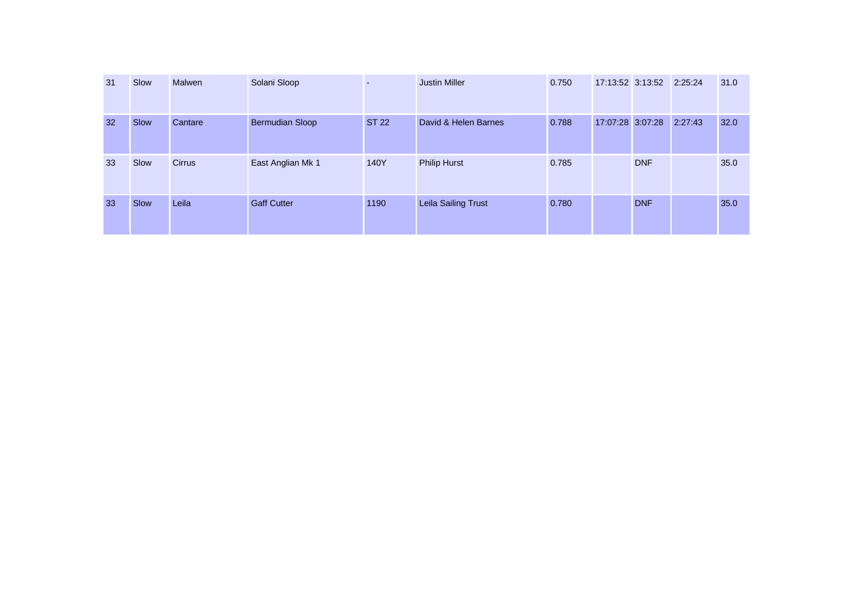| 31 | Slow | <b>Malwen</b> | Solani Sloop           | $\sim$       | Justin Miller        | 0.750 |                  | 17:13:52 3:13:52 2:25:24 |         | 31.0 |
|----|------|---------------|------------------------|--------------|----------------------|-------|------------------|--------------------------|---------|------|
| 32 | Slow | Cantare       | <b>Bermudian Sloop</b> | <b>ST 22</b> | David & Helen Barnes | 0.788 | 17:07:28 3:07:28 |                          | 2:27:43 | 32.0 |
| 33 | Slow | <b>Cirrus</b> | East Anglian Mk 1      | 140Y         | <b>Philip Hurst</b>  | 0.785 |                  | <b>DNF</b>               |         | 35.0 |
| 33 | Slow | Leila         | <b>Gaff Cutter</b>     | 1190         | Leila Sailing Trust  | 0.780 |                  | <b>DNF</b>               |         | 35.0 |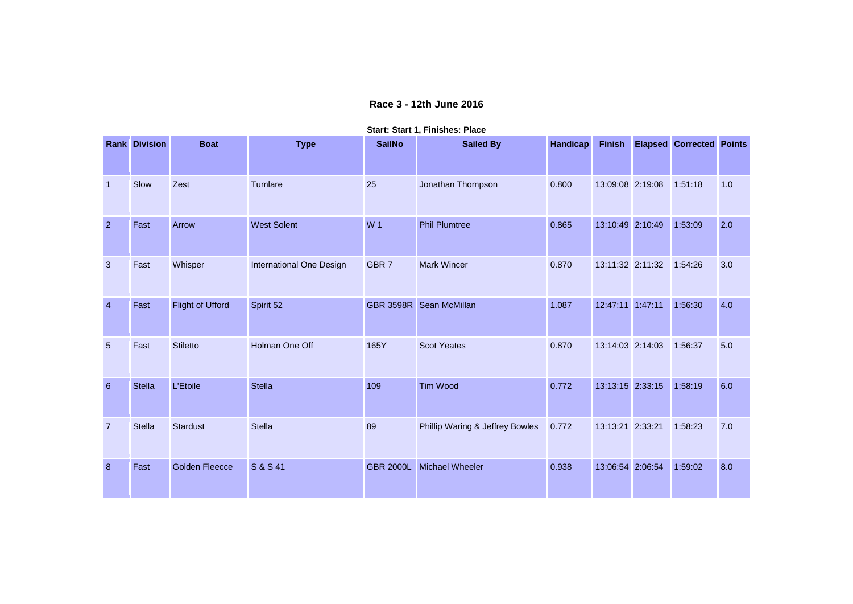### **Race 3 - 12th June 2016**

|  |  |  | Start: Start 1, Finishes: Place |  |
|--|--|--|---------------------------------|--|
|--|--|--|---------------------------------|--|

|                | <b>Rank Division</b> | <b>Boat</b>           | <b>Type</b>              | <b>SailNo</b>    | <b>Sailed By</b>                | Handicap | <b>Finish</b>    | <b>Elapsed Corrected Points</b> |     |
|----------------|----------------------|-----------------------|--------------------------|------------------|---------------------------------|----------|------------------|---------------------------------|-----|
| $\overline{1}$ | Slow                 | Zest                  | Tumlare                  | 25               | Jonathan Thompson               | 0.800    | 13:09:08 2:19:08 | 1:51:18                         | 1.0 |
| $\overline{2}$ | Fast                 | Arrow                 | <b>West Solent</b>       | W <sub>1</sub>   | <b>Phil Plumtree</b>            | 0.865    | 13:10:49 2:10:49 | 1:53:09                         | 2.0 |
| 3              | Fast                 | Whisper               | International One Design | GBR <sub>7</sub> | <b>Mark Wincer</b>              | 0.870    | 13:11:32 2:11:32 | 1:54:26                         | 3.0 |
| $\overline{4}$ | Fast                 | Flight of Ufford      | Spirit 52                | <b>GBR 3598R</b> | Sean McMillan                   | 1.087    | 12:47:11 1:47:11 | 1:56:30                         | 4.0 |
| $\overline{5}$ | Fast                 | <b>Stiletto</b>       | Holman One Off           | 165Y             | <b>Scot Yeates</b>              | 0.870    | 13:14:03 2:14:03 | 1:56:37                         | 5.0 |
| $\,$ 6 $\,$    | <b>Stella</b>        | L'Etoile              | <b>Stella</b>            | 109              | <b>Tim Wood</b>                 | 0.772    | 13:13:15 2:33:15 | 1:58:19                         | 6.0 |
| $\overline{7}$ | <b>Stella</b>        | <b>Stardust</b>       | <b>Stella</b>            | 89               | Phillip Waring & Jeffrey Bowles | 0.772    | 13:13:21 2:33:21 | 1:58:23                         | 7.0 |
| 8              | Fast                 | <b>Golden Fleecce</b> | S & S 41                 | <b>GBR 2000L</b> | <b>Michael Wheeler</b>          | 0.938    | 13:06:54 2:06:54 | 1:59:02                         | 8.0 |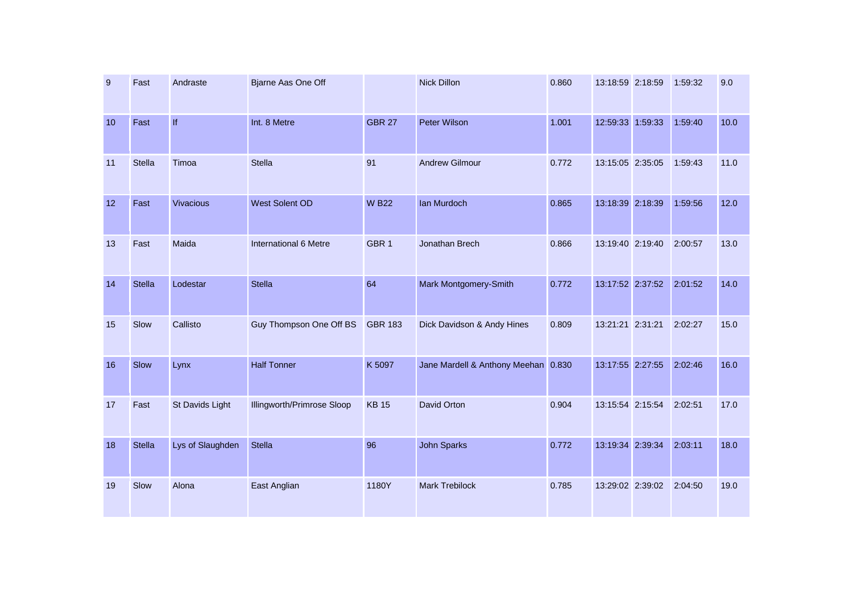| $\boldsymbol{9}$ | Fast          | Andraste         | Bjarne Aas One Off         |                  | Nick Dillon                         | 0.860 | 13:18:59 2:18:59 | 1:59:32 | 9.0  |
|------------------|---------------|------------------|----------------------------|------------------|-------------------------------------|-------|------------------|---------|------|
| 10               | Fast          | If               | Int. 8 Metre               | <b>GBR 27</b>    | <b>Peter Wilson</b>                 | 1.001 | 12:59:33 1:59:33 | 1:59:40 | 10.0 |
| 11               | <b>Stella</b> | Timoa            | Stella                     | 91               | <b>Andrew Gilmour</b>               | 0.772 | 13:15:05 2:35:05 | 1:59:43 | 11.0 |
| 12               | Fast          | <b>Vivacious</b> | West Solent OD             | <b>WB22</b>      | Ian Murdoch                         | 0.865 | 13:18:39 2:18:39 | 1:59:56 | 12.0 |
| 13               | Fast          | Maida            | International 6 Metre      | GBR <sub>1</sub> | Jonathan Brech                      | 0.866 | 13:19:40 2:19:40 | 2:00:57 | 13.0 |
| 14               | <b>Stella</b> | Lodestar         | <b>Stella</b>              | 64               | Mark Montgomery-Smith               | 0.772 | 13:17:52 2:37:52 | 2:01:52 | 14.0 |
| 15               | Slow          | Callisto         | Guy Thompson One Off BS    | <b>GBR 183</b>   | Dick Davidson & Andy Hines          | 0.809 | 13:21:21 2:31:21 | 2:02:27 | 15.0 |
| 16               | Slow          | Lynx             | <b>Half Tonner</b>         | K 5097           | Jane Mardell & Anthony Meehan 0.830 |       | 13:17:55 2:27:55 | 2:02:46 | 16.0 |
| 17               | Fast          | St Davids Light  | Illingworth/Primrose Sloop | <b>KB15</b>      | David Orton                         | 0.904 | 13:15:54 2:15:54 | 2:02:51 | 17.0 |
| 18               | <b>Stella</b> | Lys of Slaughden | Stella                     | 96               | <b>John Sparks</b>                  | 0.772 | 13:19:34 2:39:34 | 2:03:11 | 18.0 |
| 19               | Slow          | Alona            | East Anglian               | 1180Y            | Mark Trebilock                      | 0.785 | 13:29:02 2:39:02 | 2:04:50 | 19.0 |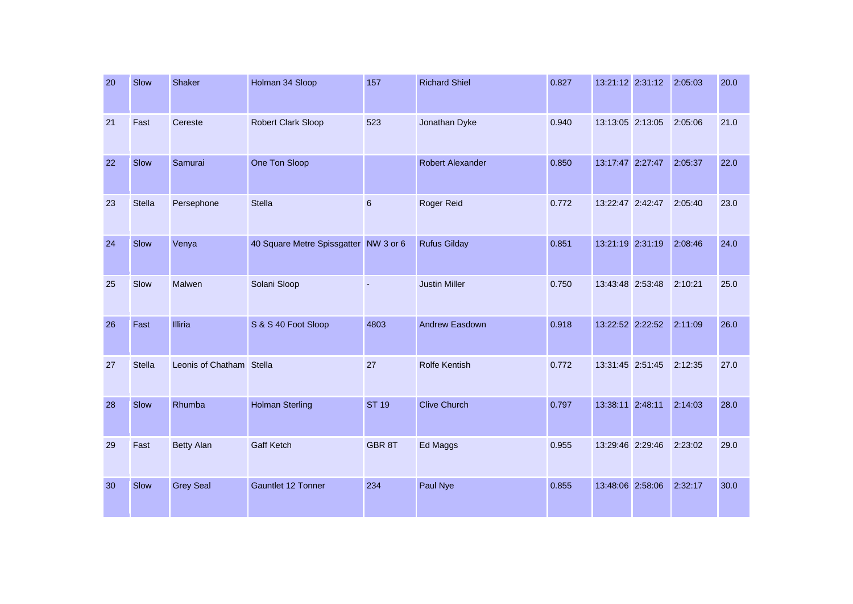| 20 | Slow          | Shaker                   | Holman 34 Sloop                       | 157             | <b>Richard Shiel</b>    | 0.827 | 13:21:12 2:31:12 | 2:05:03 | 20.0 |
|----|---------------|--------------------------|---------------------------------------|-----------------|-------------------------|-------|------------------|---------|------|
| 21 | Fast          | Cereste                  | <b>Robert Clark Sloop</b>             | 523             | Jonathan Dyke           | 0.940 | 13:13:05 2:13:05 | 2:05:06 | 21.0 |
| 22 | Slow          | Samurai                  | One Ton Sloop                         |                 | <b>Robert Alexander</b> | 0.850 | 13:17:47 2:27:47 | 2:05:37 | 22.0 |
| 23 | Stella        | Persephone               | <b>Stella</b>                         | $6\phantom{1}6$ | Roger Reid              | 0.772 | 13:22:47 2:42:47 | 2:05:40 | 23.0 |
| 24 | Slow          | Venya                    | 40 Square Metre Spissgatter NW 3 or 6 |                 | <b>Rufus Gilday</b>     | 0.851 | 13:21:19 2:31:19 | 2:08:46 | 24.0 |
| 25 | Slow          | Malwen                   | Solani Sloop                          |                 | <b>Justin Miller</b>    | 0.750 | 13:43:48 2:53:48 | 2:10:21 | 25.0 |
| 26 | Fast          | <b>Illiria</b>           | S & S 40 Foot Sloop                   | 4803            | <b>Andrew Easdown</b>   | 0.918 | 13:22:52 2:22:52 | 2:11:09 | 26.0 |
| 27 | <b>Stella</b> | Leonis of Chatham Stella |                                       | 27              | <b>Rolfe Kentish</b>    | 0.772 | 13:31:45 2:51:45 | 2:12:35 | 27.0 |
| 28 | Slow          | Rhumba                   | <b>Holman Sterling</b>                | <b>ST 19</b>    | <b>Clive Church</b>     | 0.797 | 13:38:11 2:48:11 | 2:14:03 | 28.0 |
| 29 | Fast          | <b>Betty Alan</b>        | <b>Gaff Ketch</b>                     | GBR 8T          | Ed Maggs                | 0.955 | 13:29:46 2:29:46 | 2:23:02 | 29.0 |
| 30 | Slow          | <b>Grey Seal</b>         | Gauntlet 12 Tonner                    | 234             | Paul Nye                | 0.855 | 13:48:06 2:58:06 | 2:32:17 | 30.0 |